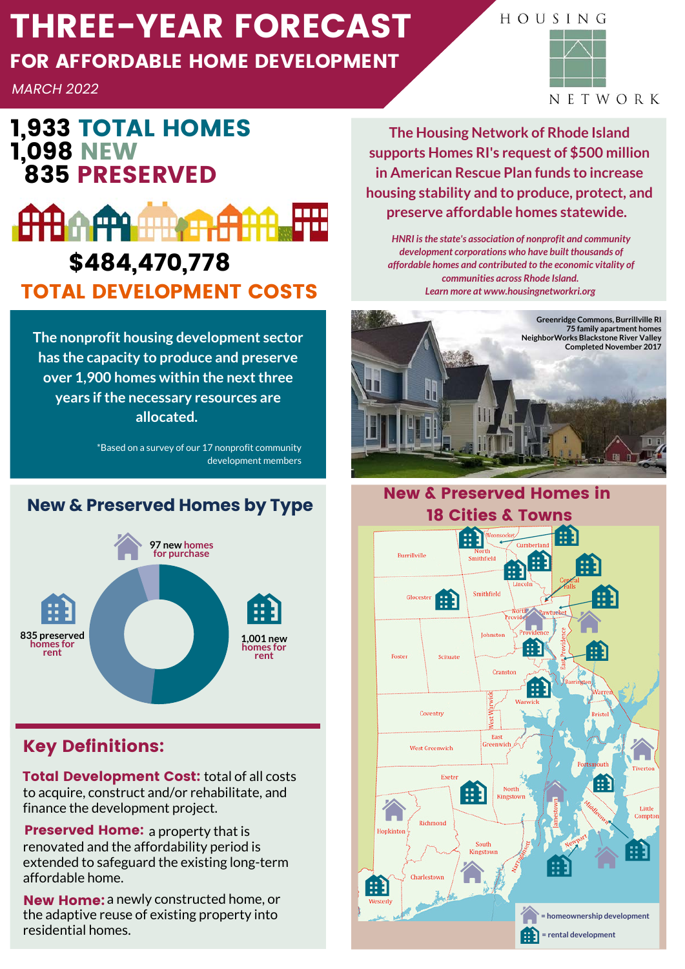# THREE-YEAR FORECAST

## FOR AFFORDABLE HOME DEVELOPMENT

*MARCH 2022*

## 1,933 TOTAL HOMES 1,098 NEW 835 PRESERVED



**The nonprofit housing development sector has the capacity to produce and preserve over 1,900 homes within the next three years if the necessary resources are allocated.**

> \*Based on a survey of our 17 nonprofit community development members

### **New & Preserved Homes by Type**



### Key Definitions:

**Total Development Cost:** total of all costs to acquire, construct and/or rehabilitate, and finance the development project.

**Preserved Home:** a property that is renovated and the affordability period is extended to safeguard the existing long-term affordable home.

New Home: a newly constructed home, or the adaptive reuse of existing property into residential homes.

**The Housing Network of Rhode Island supports Homes RI's request of \$500 million in American Rescue Plan funds to increase housing stability and to produce, protect, and preserve affordable homes statewide.** 

*HNRI is the state's association of nonprofit and community development corporations who have built thousands of affordable homes and contributed to the economic vitality of communities across Rhode Island. Learn more at www.housingnetworkri.org*